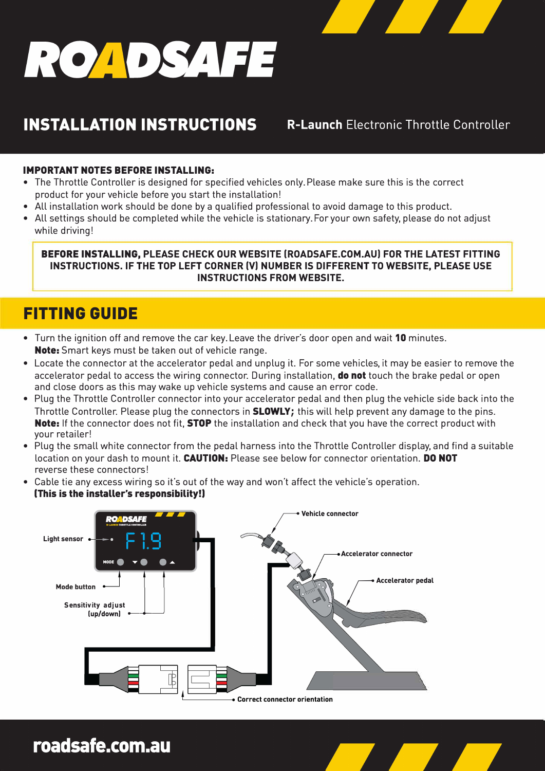# ROADSAFE

## **INSTALLATION INSTRUCTIONS**

**R-Launch Electronic Throttle Controller** 

#### **IMPORTANT NOTES BEFORE INSTALLING:**

- The Throttle Controller is designed for specified vehicles only. Please make sure this is the correct product for your vehicle before you start the installation!
- All installation work should be done by a qualified professional to avoid damage to this product.
- All settings should be completed while the vehicle is stationary. For your own safety, please do not adjust while driving!

**BEFORE INSTALLING, PLEASE CHECK OUR WEBSITE (ROADSAFE.COM.AU) FOR THE LATEST FITTING INSTRUCTIONS. IF THE TOP LEFT CORNER (V) NUMBER IS DIFFERENT TO WEBSITE, PLEASE USE INSTRUCTIONS FROM WEBSITE.** 

## **FITTING GUIDE**

- Turn the ignition off and remove the car key. Leave the driver's door open and wait 10 minutes. **Note:** Smart keys must be taken out of vehicle range.
- Locate the connector at the accelerator pedal and unplug it. For some vehicles, it may be easier to remove the accelerator pedal to access the wiring connector. During installation, **do not** touch the brake pedal or open and close doors as this may wake up vehicle systems and cause an error code.
- Plug the Throttle Controller connector into your accelerator pedal and then plug the vehicle side back into the Throttle Controller. Please plug the connectors in **SLOWLY;** this will help prevent any damage to the pins. **Note:** If the connector does not fit, **STOP** the installation and check that you have the correct product with your retailer!
- Plug the small white connector from the pedal harness into the Throttle Controller display, and find a suitable location on your dash to mount it. **CAUTION:** Please see below for connector orientation. **DO NOT** reverse these connectors!
- Cable tie any excess wiring so it's out of the way and won't affect the vehicle's operation. **(This is the installer's responsibility!)**



roadsafe.com.au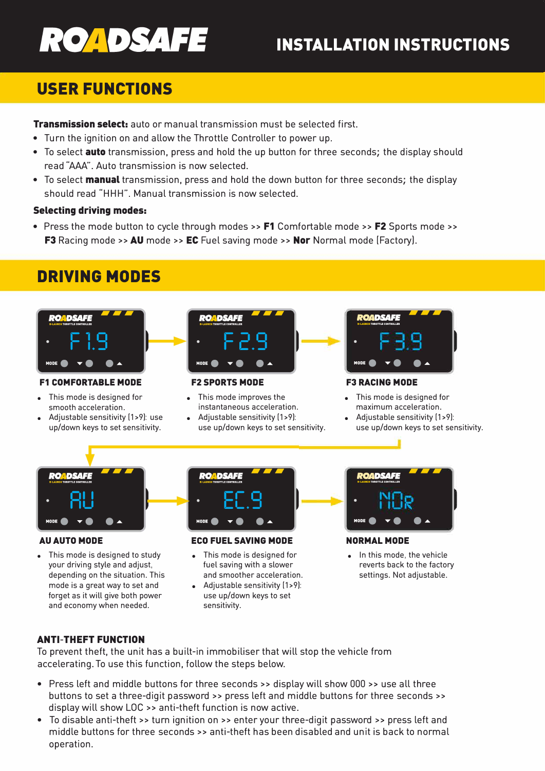

# **INSTALLATION INSTRUCTIONS**

## **USER FUNCTIONS**

**Transmission select:** auto or manual transmission must be selected first.

- Turn the ignition on and allow the Throttle Controller to power up.
- To select **auto** transmission, press and hold the up button for three seconds; the display should read "AAA". Auto transmission is now selected.
- To select **manual** transmission, press and hold the down button for three seconds; the display should read "HHH". Manual transmission is now selected.

#### Selecting driving modes:

• Press the mode button to cycle through modes >> F1 Comfortable mode >> F2 Sports mode >> F3 Racing mode >> AU mode >> EC Fuel saving mode >> Nor Normal mode (Factory).

## **DRIVING MODES**



#### **F1 COMFORTABLE MODE**

- This mode is designed for smooth acceleration.
- Adjustable sensitivity [1>9]: use up/down keys to set sensitivity.



#### **F2 SPORTS MODE**

- This mode improves the instantaneous acceleration. Adjustable sensitivity (1>9):
- use up/down keys to set sensitivity.



#### **F3 RACING MODE**

- This mode is designed for maximum acceleration.
- Adjustable sensitivity (1>9): use up/down keys to set sensitivity.



#### **AU AUTO MODE**

This mode is designed to study your driving style and adjust, depending on the situation. This mode is a great way to set and forget as it will give both power and economy when needed.



#### **ECO FUEL SAVING MODE**

- This mode is designed for fuel saving with a slower and smoother acceleration.
- Adjustable sensitivity (1>9): use up/down keys to set sensitivity.



#### **NORMAL MODE**

In this mode, the vehicle reverts back to the factory settings. Not adjustable.

#### ANTI-THEFT FUNCTION

To prevent theft, the unit has a built-in immobiliser that will stop the vehicle from accelerating. To use this function, follow the steps below.

- Press left and middle buttons for three seconds >> display will show 000 >> use all three buttons to set a three-digit password >> press left and middle buttons for three seconds >> display will show LOC » anti-theft function is now active.
- To disable anti-theft >> turn ignition on >> enter your three-digit password >> press left and middle buttons for three seconds >> anti-theft has been disabled and unit is back to normal operation.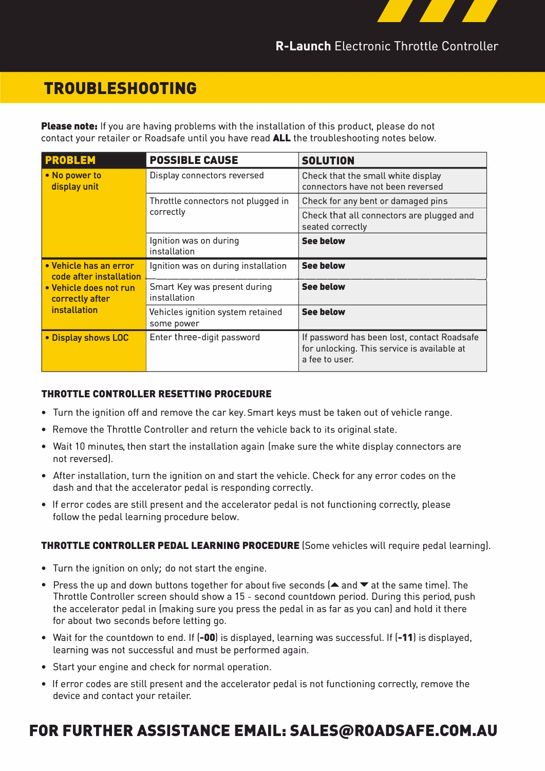

R-Launch Electronic Throttle Controller

## **TROUBLESHOOTING**

**Please note:** If you are having problems with the installation of this product, please do not contact your retailer or Roadsafe until you have read **ALL** the troubleshooting notes below.

| <b>PROBLEM</b>                                                                                                        | <b>POSSIBLE CAUSE</b>                           | <b>SOLUTION</b>                                                                                              |
|-----------------------------------------------------------------------------------------------------------------------|-------------------------------------------------|--------------------------------------------------------------------------------------------------------------|
| • No power to<br>display unit                                                                                         | Display connectors reversed                     | Check that the small white display<br>connectors have not been reversed                                      |
|                                                                                                                       | Throttle connectors not plugged in<br>correctly | Check for any bent or damaged pins                                                                           |
|                                                                                                                       |                                                 | Check that all connectors are plugged and<br>seated correctly                                                |
|                                                                                                                       | Ignition was on during<br>installation          | <b>See below</b>                                                                                             |
| • Vehicle has an error<br>code after installation<br>• Vehicle does not run<br>correctly after<br><i>installation</i> | Ignition was on during installation             | <b>See below</b>                                                                                             |
|                                                                                                                       | Smart Key was present during<br>installation    | <b>See below</b>                                                                                             |
|                                                                                                                       | Vehicles ignition system retained<br>some power | <b>See below</b>                                                                                             |
| . Display shows LOC                                                                                                   | Enter three-digit password                      | If password has been lost, contact Roadsafe<br>for unlocking. This service is available at<br>a fee to user. |

#### THROTTLE CONTROLLER RESETTING PROCEDURE

- Turn the ignition off and remove the car key. Smart keys must be taken out of vehicle range.
- Remove the Throttle Controller and return the vehicle back to its original state.
- Wait 10 minutes, then start the installation again (make sure the white display connectors are not reversed].
- After installation, turn the ignition on and start the vehicle. Check for any error codes on the dash and that the accelerator pedal is responding correctly.
- If error codes are still present and the accelerator pedal is not functioning correctly, please follow the pedal learning procedure below.

#### THROTTLE CONTROLLER PEDAL LEARNING PROCEDURE (Some vehicles will require pedal learning].

- Turn the ignition on only; do not start the engine.
- Press the up and down buttons together for about five seconds  $(A)$  and  $\blacktriangledown$  at the same time). The Throttle Controller screen should show a 15 - second countdown period. During this period, push the accelerator pedal in (making sure you press the pedal in as far as you can) and hold it there for about two seconds before letting go.
- Wait for the countdown to end. If  $[-00]$  is displayed, learning was successful. If  $[-11]$  is displayed, learning was not successful and must be performed again.
- Start your engine and check for normal operation.
- If error codes are still present and the accelerator pedal is not functioning correctly, remove the device and contact your retailer.

## **FOR FURTHER ASSISTANCE EMAIL: SALES@ROADSAFE.COM.AU**